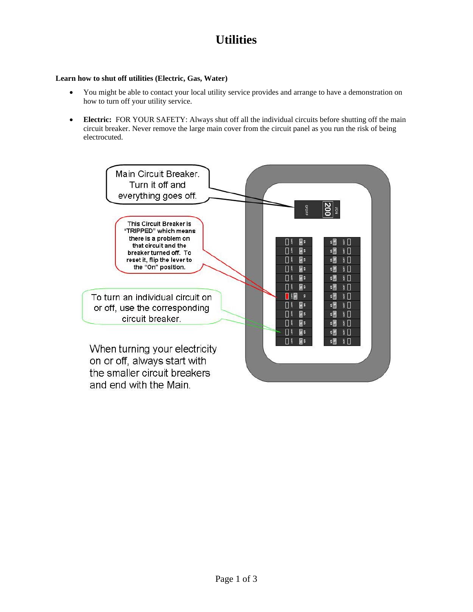## **Utilities**

## **Learn how to shut off utilities (Electric, Gas, Water)**

- You might be able to contact your local utility service provides and arrange to have a demonstration on how to turn off your utility service.
- **Electric:** FOR YOUR SAFETY: Always shut off all the individual circuits before shutting off the main circuit breaker. Never remove the large main cover from the circuit panel as you run the risk of being electrocuted.

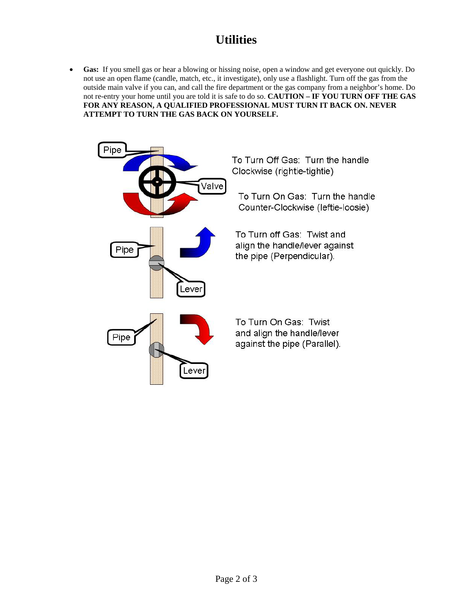## **Utilities**

• **Gas:** If you smell gas or hear a blowing or hissing noise, open a window and get everyone out quickly. Do not use an open flame (candle, match, etc., it investigate), only use a flashlight. Turn off the gas from the outside main valve if you can, and call the fire department or the gas company from a neighbor's home. Do not re-entry your home until you are told it is safe to do so. **CAUTION – IF YOU TURN OFF THE GAS FOR ANY REASON, A QUALIFIED PROFESSIONAL MUST TURN IT BACK ON. NEVER ATTEMPT TO TURN THE GAS BACK ON YOURSELF.**